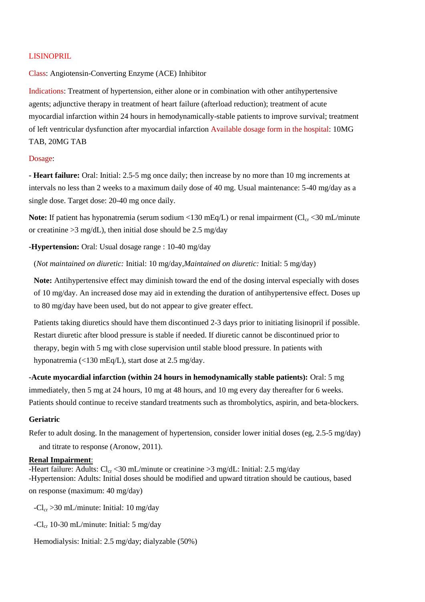### LISINOPRIL

## Class: Angiotensin-Converting Enzyme (ACE) Inhibitor

Indications: Treatment of hypertension, either alone or in combination with other antihypertensive agents; adjunctive therapy in treatment of heart failure (afterload reduction); treatment of acute myocardial infarction within 24 hours in hemodynamically-stable patients to improve survival; treatment of left ventricular dysfunction after myocardial infarction Available dosage form in the hospital: 10MG TAB, 20MG TAB

#### Dosage:

**- Heart failure:** Oral: Initial: 2.5-5 mg once daily; then increase by no more than 10 mg increments at intervals no less than 2 weeks to a maximum daily dose of 40 mg. Usual maintenance: 5-40 mg/day as a single dose. Target dose: 20-40 mg once daily.

**Note:** If patient has hyponatremia (serum sodium <130 mEq/L) or renal impairment ( $Cl_{cr}$  <30 mL/minute or creatinine  $>3$  mg/dL), then initial dose should be 2.5 mg/day

**-Hypertension:** Oral: Usual dosage range : 10-40 mg/day

(*Not maintained on diuretic:* Initial: 10 mg/day,*Maintained on diuretic:* Initial: 5 mg/day)

**Note:** Antihypertensive effect may diminish toward the end of the dosing interval especially with doses of 10 mg/day. An increased dose may aid in extending the duration of antihypertensive effect. Doses up to 80 mg/day have been used, but do not appear to give greater effect.

Patients taking diuretics should have them discontinued 2-3 days prior to initiating lisinopril if possible. Restart diuretic after blood pressure is stable if needed. If diuretic cannot be discontinued prior to therapy, begin with 5 mg with close supervision until stable blood pressure. In patients with hyponatremia (<130 mEq/L), start dose at 2.5 mg/day.

**-Acute myocardial infarction (within 24 hours in hemodynamically stable patients):** Oral: 5 mg immediately, then 5 mg at 24 hours, 10 mg at 48 hours, and 10 mg every day thereafter for 6 weeks. Patients should continue to receive standard treatments such as thrombolytics, aspirin, and beta-blockers.

#### **Geriatric**

Refer to adult dosing. In the management of hypertension, consider lower initial doses (eg, 2.5-5 mg/day) and titrate to response (Aronow, 2011).

#### **Renal Impairment**:

-Heart failure: Adults:  $Cl_{cr} < 30$  mL/minute or creatinine  $>3$  mg/dL: Initial: 2.5 mg/day -Hypertension: Adults: Initial doses should be modified and upward titration should be cautious, based on response (maximum: 40 mg/day)

 $-Cl_{cr} > 30$  mL/minute: Initial: 10 mg/day

-Cl<sub>cr</sub> 10-30 mL/minute: Initial: 5 mg/day

Hemodialysis: Initial: 2.5 mg/day; dialyzable (50%)